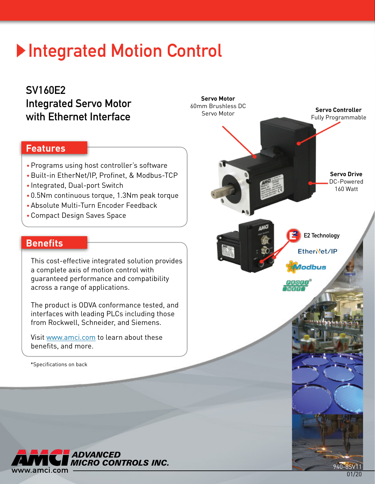# **Integrated Motion Control**

**Servo Motor** 60mm Brushless DC Servo Motor

## SV160E2 Integrated Servo Motor with Ethernet Interface

## **Features**

- Programs using host controller's software
- Built-in EtherNet/IP, Profinet, & Modbus-TCP •
- Integrated, Dual-port Switch
- 0.5Nm continuous torque, 1.3Nm peak torque •
- •Absolute Multi-Turn Encoder Feedback
- •Compact Design Saves Space

## **Benefits**

This cost-effective integrated solution provides a complete axis of motion control with guaranteed performance and compatibility across a range of applications.

The product is ODVA conformance tested, and interfaces with leading PLCs including those from Rockwell, Schneider, and Siemens.

Visit <www.amci.com> to learn about these benefits, and more.

\*Specifications on back



**Servo Controller** Fully Programmable

> **Servo Drive** DC-Powered 160 Watt

E2 Technology

EtherNet/IP

lodbus

 $PIR[Q|F]U$  $T<sub>M</sub>T<sub>F</sub>T<sub>F</sub>$